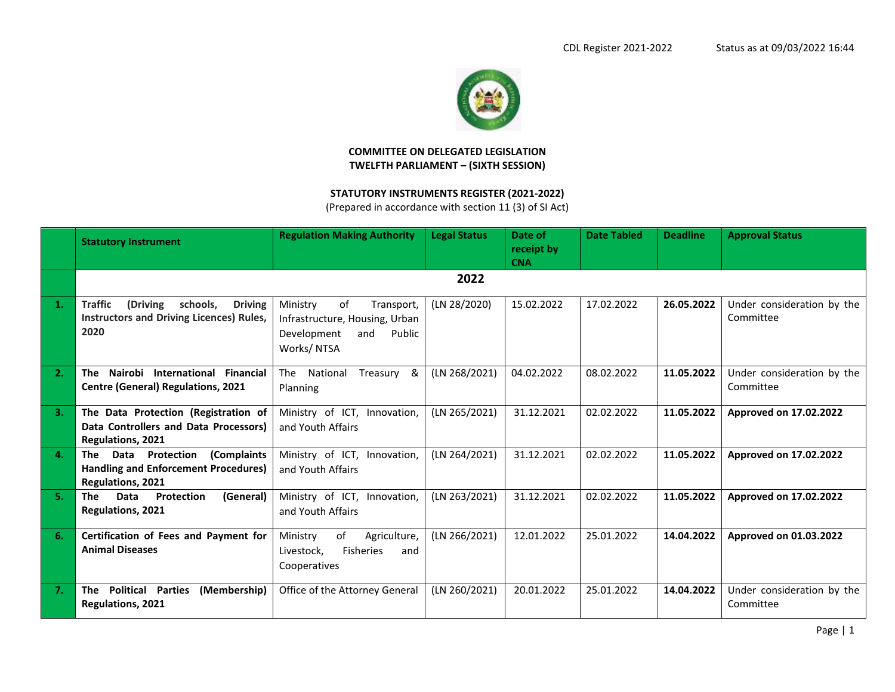

## **COMMITTEE ON DELEGATED LEGISLATION TWELFTH PARLIAMENT – (SIXTH SESSION)**

## **STATUTORY INSTRUMENTS REGISTER (2021-2022)**

(Prepared in accordance with section 11 (3) of SI Act)

|    | <b>Statutory Instrument</b>                                                                                  | <b>Regulation Making Authority</b>                                                                           | <b>Legal Status</b> | Date of<br>receipt by<br><b>CNA</b> | <b>Date Tabled</b> | <b>Deadline</b> | <b>Approval Status</b>                  |
|----|--------------------------------------------------------------------------------------------------------------|--------------------------------------------------------------------------------------------------------------|---------------------|-------------------------------------|--------------------|-----------------|-----------------------------------------|
|    |                                                                                                              |                                                                                                              | 2022                |                                     |                    |                 |                                         |
|    | <b>Traffic</b><br>(Driving<br>schools,<br><b>Driving</b><br>Instructors and Driving Licences) Rules,<br>2020 | Ministry<br>of<br>Transport,<br>Infrastructure, Housing, Urban<br>Development<br>Public<br>and<br>Works/NTSA | (LN 28/2020)        | 15.02.2022                          | 17.02.2022         | 26.05.2022      | Under consideration by the<br>Committee |
| 2. | Nairobi International Financial<br>The<br><b>Centre (General) Regulations, 2021</b>                          | The<br>National<br>Treasury<br>&<br>Planning                                                                 | (LN 268/2021)       | 04.02.2022                          | 08.02.2022         | 11.05.2022      | Under consideration by the<br>Committee |
| 3. | The Data Protection (Registration of<br>Data Controllers and Data Processors)<br><b>Regulations, 2021</b>    | Ministry of ICT, Innovation,<br>and Youth Affairs                                                            | (LN 265/2021)       | 31.12.2021                          | 02.02.2022         | 11.05.2022      | Approved on 17.02.2022                  |
| 4. | Data Protection<br>(Complaints<br>The<br>Handling and Enforcement Procedures)<br>Regulations, 2021           | Ministry of ICT, Innovation,<br>and Youth Affairs                                                            | (LN 264/2021)       | 31.12.2021                          | 02.02.2022         | 11.05.2022      | Approved on 17.02.2022                  |
| 5. | Data<br>Protection<br>(General)<br><b>The</b><br><b>Regulations, 2021</b>                                    | Ministry of ICT, Innovation,<br>and Youth Affairs                                                            | (LN 263/2021)       | 31.12.2021                          | 02.02.2022         | 11.05.2022      | Approved on 17.02.2022                  |
| 6. | Certification of Fees and Payment for<br><b>Animal Diseases</b>                                              | of<br>Ministry<br>Agriculture,<br><b>Fisheries</b><br>Livestock,<br>and<br>Cooperatives                      | (LN 266/2021)       | 12.01.2022                          | 25.01.2022         | 14.04.2022      | Approved on 01.03.2022                  |
| 7. | The Political Parties<br>(Membership)<br>Regulations, 2021                                                   | Office of the Attorney General                                                                               | (LN 260/2021)       | 20.01.2022                          | 25.01.2022         | 14.04.2022      | Under consideration by the<br>Committee |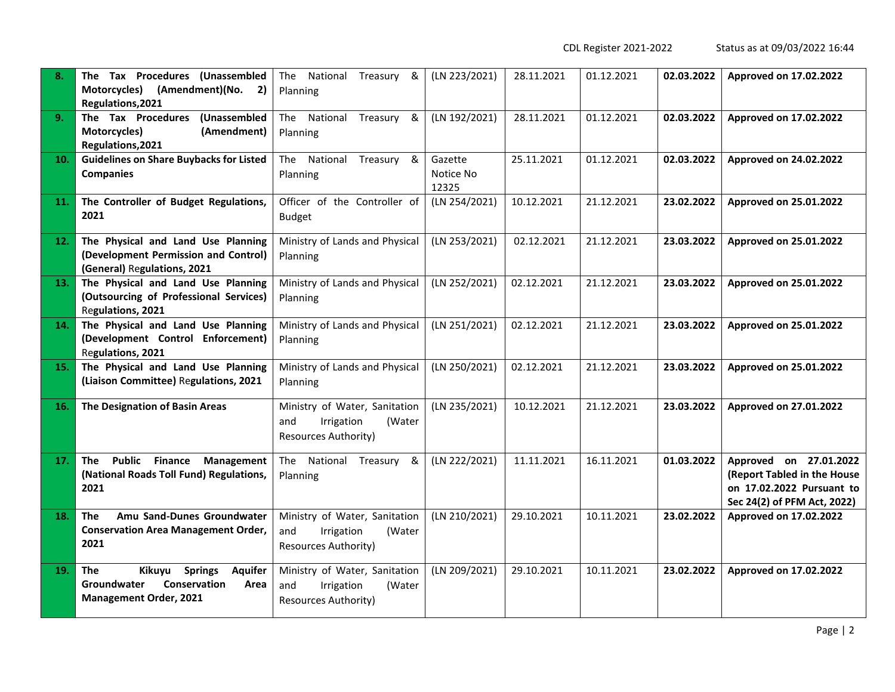CDL Register 2021-2022 Status as at 09/03/2022 16:44

| 8.  | The Tax Procedures (Unassembled<br>Motorcycles)<br>(Amendment)(No. 2)<br>Regulations, 2021                                       | The National Treasury &<br>Planning                                                         | (LN 223/2021)                 | 28.11.2021 | 01.12.2021 | 02.03.2022 | Approved on 17.02.2022                                                                                            |
|-----|----------------------------------------------------------------------------------------------------------------------------------|---------------------------------------------------------------------------------------------|-------------------------------|------------|------------|------------|-------------------------------------------------------------------------------------------------------------------|
| 9.  | The Tax Procedures (Unassembled<br>Motorcycles)<br>(Amendment)<br>Regulations, 2021                                              | The National Treasury &<br>Planning                                                         | (LN 192/2021)                 | 28.11.2021 | 01.12.2021 | 02.03.2022 | Approved on 17.02.2022                                                                                            |
| 10. | <b>Guidelines on Share Buybacks for Listed</b><br><b>Companies</b>                                                               | National<br>Treasury &<br>The<br>Planning                                                   | Gazette<br>Notice No<br>12325 | 25.11.2021 | 01.12.2021 | 02.03.2022 | Approved on 24.02.2022                                                                                            |
| 11. | The Controller of Budget Regulations,<br>2021                                                                                    | Officer of the Controller of<br><b>Budget</b>                                               | (LN 254/2021)                 | 10.12.2021 | 21.12.2021 | 23.02.2022 | Approved on 25.01.2022                                                                                            |
| 12. | The Physical and Land Use Planning<br>(Development Permission and Control)<br>(General) Regulations, 2021                        | Ministry of Lands and Physical<br>Planning                                                  | (LN 253/2021)                 | 02.12.2021 | 21.12.2021 | 23.03.2022 | Approved on 25.01.2022                                                                                            |
| 13. | The Physical and Land Use Planning<br>(Outsourcing of Professional Services)<br>Regulations, 2021                                | Ministry of Lands and Physical<br>Planning                                                  | (LN 252/2021)                 | 02.12.2021 | 21.12.2021 | 23.03.2022 | Approved on 25.01.2022                                                                                            |
| 14. | The Physical and Land Use Planning<br>(Development Control Enforcement)<br>Regulations, 2021                                     | Ministry of Lands and Physical<br>Planning                                                  | (LN 251/2021)                 | 02.12.2021 | 21.12.2021 | 23.03.2022 | Approved on 25.01.2022                                                                                            |
| 15. | The Physical and Land Use Planning<br>(Liaison Committee) Regulations, 2021                                                      | Ministry of Lands and Physical<br>Planning                                                  | (LN 250/2021)                 | 02.12.2021 | 21.12.2021 | 23.03.2022 | Approved on 25.01.2022                                                                                            |
| 16. | The Designation of Basin Areas                                                                                                   | Ministry of Water, Sanitation<br>Irrigation<br>(Water<br>and<br><b>Resources Authority)</b> | (LN 235/2021)                 | 10.12.2021 | 21.12.2021 | 23.03.2022 | Approved on 27.01.2022                                                                                            |
| 17. | Public Finance Management<br>The<br>(National Roads Toll Fund) Regulations,<br>2021                                              | The National Treasury &<br>Planning                                                         | (LN 222/2021)                 | 11.11.2021 | 16.11.2021 | 01.03.2022 | Approved on 27.01.2022<br>(Report Tabled in the House<br>on 17.02.2022 Pursuant to<br>Sec 24(2) of PFM Act, 2022) |
| 18. | <b>The</b><br>Amu Sand-Dunes Groundwater<br><b>Conservation Area Management Order,</b><br>2021                                   | Ministry of Water, Sanitation<br>Irrigation<br>(Water<br>and<br><b>Resources Authority)</b> | (LN 210/2021)                 | 29.10.2021 | 10.11.2021 | 23.02.2022 | Approved on 17.02.2022                                                                                            |
| 19. | <b>The</b><br><b>Springs</b><br>Kikuyu<br><b>Aquifer</b><br>Groundwater<br>Conservation<br>Area<br><b>Management Order, 2021</b> | Ministry of Water, Sanitation<br>(Water<br>and<br>Irrigation<br><b>Resources Authority)</b> | (LN 209/2021)                 | 29.10.2021 | 10.11.2021 | 23.02.2022 | Approved on 17.02.2022                                                                                            |